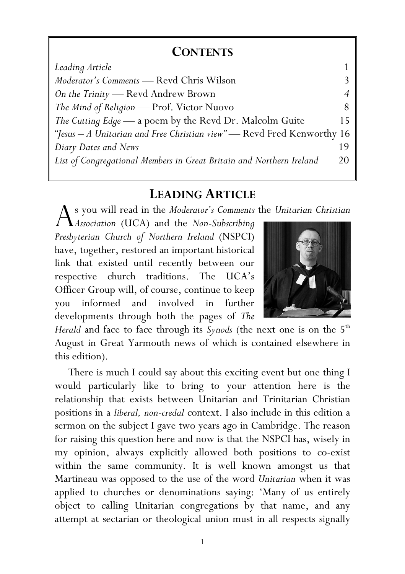## **CONTENTS**

| Leading Article                                                         |    |
|-------------------------------------------------------------------------|----|
| <i>Moderator's Comments</i> — Revd Chris Wilson                         |    |
| On the Trinity — Revd Andrew Brown                                      |    |
| The Mind of Religion - Prof. Victor Nuovo                               |    |
| The Cutting Edge — a poem by the Revd Dr. Malcolm Guite                 | 15 |
| "Jesus $-A$ Unitarian and Free Christian view" — Revd Fred Kenworthy 16 |    |
| Diary Dates and News                                                    | 19 |
| List of Congregational Members in Great Britain and Northern Ireland    | 20 |

## LEADING ARTICLE

 $\Lambda$  s you will read in the Moderator's Comments the Unitarian Christian

EDITION CONTINUES<br>
Association (UCA) and the Non-Subscribing Presbyterian Church of Northern Ireland (NSPCI) have, together, restored an important historical link that existed until recently between our respective church traditions. The UCA's Officer Group will, of course, continue to keep you informed and involved in further developments through both the pages of The



Herald and face to face through its Synods (the next one is on the  $5<sup>th</sup>$ August in Great Yarmouth news of which is contained elsewhere in this edition).

There is much I could say about this exciting event but one thing I would particularly like to bring to your attention here is the relationship that exists between Unitarian and Trinitarian Christian positions in a liberal, non-credal context. I also include in this edition a sermon on the subject I gave two years ago in Cambridge. The reason for raising this question here and now is that the NSPCI has, wisely in my opinion, always explicitly allowed both positions to co-exist within the same community. It is well known amongst us that Martineau was opposed to the use of the word Unitarian when it was applied to churches or denominations saying: 'Many of us entirely object to calling Unitarian congregations by that name, and any attempt at sectarian or theological union must in all respects signally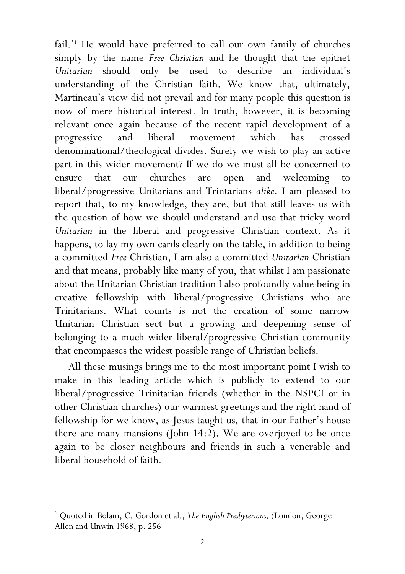fail.'<sup>1</sup> He would have preferred to call our own family of churches simply by the name Free Christian and he thought that the epithet Unitarian should only be used to describe an individual's understanding of the Christian faith. We know that, ultimately, Martineau's view did not prevail and for many people this question is now of mere historical interest. In truth, however, it is becoming relevant once again because of the recent rapid development of a progressive and liberal movement which has crossed denominational/theological divides. Surely we wish to play an active part in this wider movement? If we do we must all be concerned to ensure that our churches are open and welcoming to liberal/progressive Unitarians and Trintarians alike. I am pleased to report that, to my knowledge, they are, but that still leaves us with the question of how we should understand and use that tricky word Unitarian in the liberal and progressive Christian context. As it happens, to lay my own cards clearly on the table, in addition to being a committed Free Christian, I am also a committed Unitarian Christian and that means, probably like many of you, that whilst I am passionate about the Unitarian Christian tradition I also profoundly value being in creative fellowship with liberal/progressive Christians who are Trinitarians. What counts is not the creation of some narrow Unitarian Christian sect but a growing and deepening sense of belonging to a much wider liberal/progressive Christian community that encompasses the widest possible range of Christian beliefs.

All these musings brings me to the most important point I wish to make in this leading article which is publicly to extend to our liberal/progressive Trinitarian friends (whether in the NSPCI or in other Christian churches) our warmest greetings and the right hand of fellowship for we know, as Jesus taught us, that in our Father's house there are many mansions (John 14:2). We are overjoyed to be once again to be closer neighbours and friends in such a venerable and liberal household of faith.

l

<sup>&</sup>lt;sup>1</sup> Quoted in Bolam, C. Gordon et al., The English Presbyterians, (London, George Allen and Unwin 1968, p. 256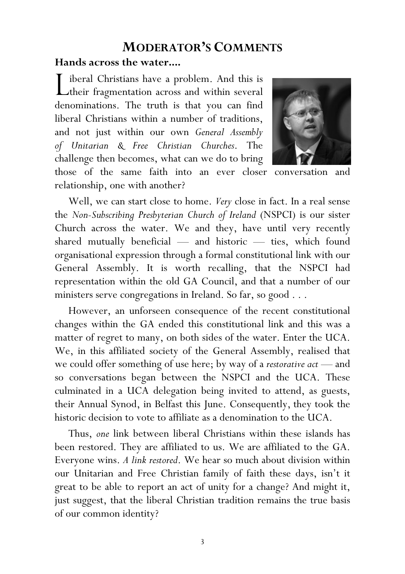## MODERATOR'S COMMENTS

### Hands across the water....

iberal Christians have a problem. And this is **L**their fragmentation across and within several denominations. The truth is that you can find liberal Christians within a number of traditions, and not just within our own General Assembly of Unitarian & Free Christian Churches. The challenge then becomes, what can we do to bring L



those of the same faith into an ever closer conversation and relationship, one with another?

Well, we can start close to home. Very close in fact. In a real sense the Non-Subscribing Presbyterian Church of Ireland (NSPCI) is our sister Church across the water. We and they, have until very recently shared mutually beneficial — and historic — ties, which found organisational expression through a formal constitutional link with our General Assembly. It is worth recalling, that the NSPCI had representation within the old GA Council, and that a number of our ministers serve congregations in Ireland. So far, so good . . .

However, an unforseen consequence of the recent constitutional changes within the GA ended this constitutional link and this was a matter of regret to many, on both sides of the water. Enter the UCA. We, in this affiliated society of the General Assembly, realised that we could offer something of use here; by way of a restorative act — and so conversations began between the NSPCI and the UCA. These culminated in a UCA delegation being invited to attend, as guests, their Annual Synod, in Belfast this June. Consequently, they took the historic decision to vote to affiliate as a denomination to the UCA.

Thus, one link between liberal Christians within these islands has been restored. They are affiliated to us. We are affiliated to the GA. Everyone wins. A link restored. We hear so much about division within our Unitarian and Free Christian family of faith these days, isn't it great to be able to report an act of unity for a change? And might it, just suggest, that the liberal Christian tradition remains the true basis of our common identity?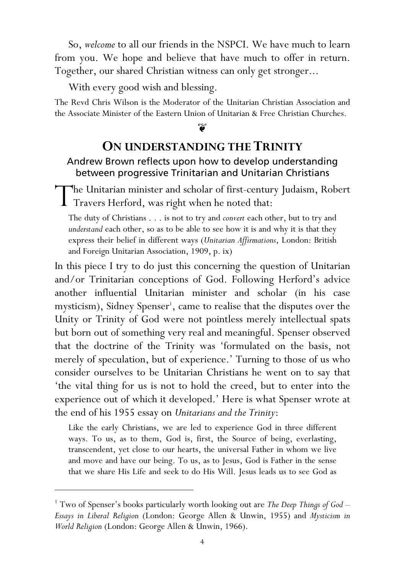So, welcome to all our friends in the NSPCI. We have much to learn from you. We hope and believe that have much to offer in return. Together, our shared Christian witness can only get stronger...

With every good wish and blessing.

The Revd Chris Wilson is the Moderator of the Unitarian Christian Association and the Associate Minister of the Eastern Union of Unitarian & Free Christian Churches.

## $\widetilde{\mathbf{v}}$

# ON UNDERSTANDING THE TRINITY

### Andrew Brown reflects upon how to develop understanding between progressive Trinitarian and Unitarian Christians

he Unitarian minister and scholar of first-century Judaism, Robert The Unitarian minister and scholar of first-century<br>Travers Herford, was right when he noted that:

The duty of Christians . . . is not to try and convert each other, but to try and understand each other, so as to be able to see how it is and why it is that they express their belief in different ways (Unitarian Affirmations, London: British and Foreign Unitarian Association, 1909, p. ix)

In this piece I try to do just this concerning the question of Unitarian and/or Trinitarian conceptions of God. Following Herford's advice another influential Unitarian minister and scholar (in his case mysticism), Sidney Spenser<sup>1</sup>, came to realise that the disputes over the Unity or Trinity of God were not pointless merely intellectual spats but born out of something very real and meaningful. Spenser observed that the doctrine of the Trinity was 'formulated on the basis, not merely of speculation, but of experience.' Turning to those of us who consider ourselves to be Unitarian Christians he went on to say that 'the vital thing for us is not to hold the creed, but to enter into the experience out of which it developed.' Here is what Spenser wrote at the end of his 1955 essay on Unitarians and the Trinity:

Like the early Christians, we are led to experience God in three different ways. To us, as to them, God is, first, the Source of being, everlasting, transcendent, yet close to our hearts, the universal Father in whom we live and move and have our being. To us, as to Jesus, God is Father in the sense that we share His Life and seek to do His Will. Jesus leads us to see God as

 $\overline{a}$ 

<sup>&</sup>lt;sup>1</sup> Two of Spenser's books particularly worth looking out are The Deep Things of God  $-$ Essays in Liberal Religion (London: George Allen & Unwin, 1955) and Mysticism in World Religion (London: George Allen & Unwin, 1966).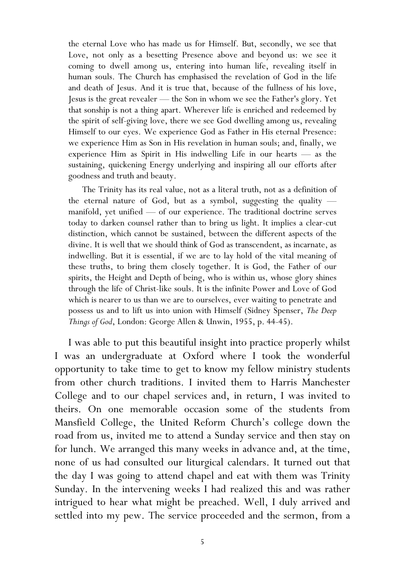the eternal Love who has made us for Himself. But, secondly, we see that Love, not only as a besetting Presence above and beyond us: we see it coming to dwell among us, entering into human life, revealing itself in human souls. The Church has emphasised the revelation of God in the life and death of Jesus. And it is true that, because of the fullness of his love, Jesus is the great revealer — the Son in whom we see the Father's glory. Yet that sonship is not a thing apart. Wherever life is enriched and redeemed by the spirit of self-giving love, there we see God dwelling among us, revealing Himself to our eyes. We experience God as Father in His eternal Presence: we experience Him as Son in His revelation in human souls; and, finally, we experience Him as Spirit in His indwelling Life in our hearts — as the sustaining, quickening Energy underlying and inspiring all our efforts after goodness and truth and beauty.

The Trinity has its real value, not as a literal truth, not as a definition of the eternal nature of God, but as a symbol, suggesting the quality manifold, yet unified — of our experience. The traditional doctrine serves today to darken counsel rather than to bring us light. It implies a clear-cut distinction, which cannot be sustained, between the different aspects of the divine. It is well that we should think of God as transcendent, as incarnate, as indwelling. But it is essential, if we are to lay hold of the vital meaning of these truths, to bring them closely together. It is God, the Father of our spirits, the Height and Depth of being, who is within us, whose glory shines through the life of Christ-like souls. It is the infinite Power and Love of God which is nearer to us than we are to ourselves, ever waiting to penetrate and possess us and to lift us into union with Himself (Sidney Spenser, The Deep Things of God, London: George Allen & Unwin, 1955, p. 44-45).

I was able to put this beautiful insight into practice properly whilst I was an undergraduate at Oxford where I took the wonderful opportunity to take time to get to know my fellow ministry students from other church traditions. I invited them to Harris Manchester College and to our chapel services and, in return, I was invited to theirs. On one memorable occasion some of the students from Mansfield College, the United Reform Church's college down the road from us, invited me to attend a Sunday service and then stay on for lunch. We arranged this many weeks in advance and, at the time, none of us had consulted our liturgical calendars. It turned out that the day I was going to attend chapel and eat with them was Trinity Sunday. In the intervening weeks I had realized this and was rather intrigued to hear what might be preached. Well, I duly arrived and settled into my pew. The service proceeded and the sermon, from a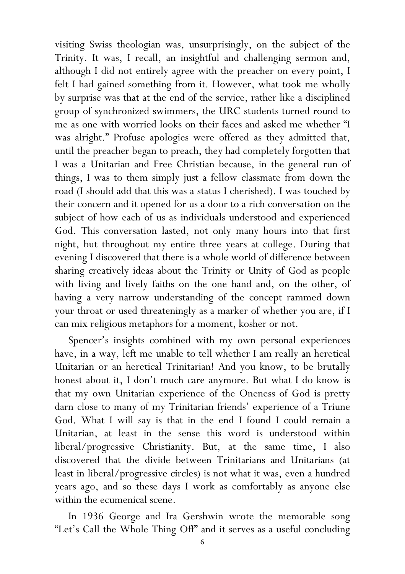visiting Swiss theologian was, unsurprisingly, on the subject of the Trinity. It was, I recall, an insightful and challenging sermon and, although I did not entirely agree with the preacher on every point, I felt I had gained something from it. However, what took me wholly by surprise was that at the end of the service, rather like a disciplined group of synchronized swimmers, the URC students turned round to me as one with worried looks on their faces and asked me whether "I was alright." Profuse apologies were offered as they admitted that, until the preacher began to preach, they had completely forgotten that I was a Unitarian and Free Christian because, in the general run of things, I was to them simply just a fellow classmate from down the road (I should add that this was a status I cherished). I was touched by their concern and it opened for us a door to a rich conversation on the subject of how each of us as individuals understood and experienced God. This conversation lasted, not only many hours into that first night, but throughout my entire three years at college. During that evening I discovered that there is a whole world of difference between sharing creatively ideas about the Trinity or Unity of God as people with living and lively faiths on the one hand and, on the other, of having a very narrow understanding of the concept rammed down your throat or used threateningly as a marker of whether you are, if I can mix religious metaphors for a moment, kosher or not.

Spencer's insights combined with my own personal experiences have, in a way, left me unable to tell whether I am really an heretical Unitarian or an heretical Trinitarian! And you know, to be brutally honest about it, I don't much care anymore. But what I do know is that my own Unitarian experience of the Oneness of God is pretty darn close to many of my Trinitarian friends' experience of a Triune God. What I will say is that in the end I found I could remain a Unitarian, at least in the sense this word is understood within liberal/progressive Christianity. But, at the same time, I also discovered that the divide between Trinitarians and Unitarians (at least in liberal/progressive circles) is not what it was, even a hundred years ago, and so these days I work as comfortably as anyone else within the ecumenical scene.

In 1936 George and Ira Gershwin wrote the memorable song "Let's Call the Whole Thing Off" and it serves as a useful concluding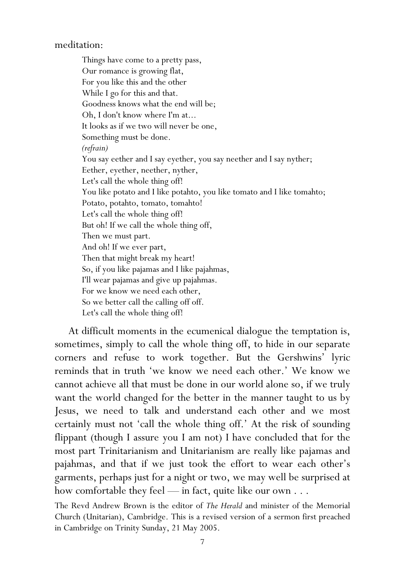meditation:

Things have come to a pretty pass, Our romance is growing flat, For you like this and the other While I go for this and that. Goodness knows what the end will be; Oh, I don't know where I'm at... It looks as if we two will never be one, Something must be done. (refrain) You say eether and I say eyether, you say neether and I say nyther; Eether, eyether, neether, nyther, Let's call the whole thing off! You like potato and I like potahto, you like tomato and I like tomahto; Potato, potahto, tomato, tomahto! Let's call the whole thing off! But oh! If we call the whole thing off, Then we must part. And oh! If we ever part, Then that might break my heart! So, if you like pajamas and I like pajahmas, I'll wear pajamas and give up pajahmas. For we know we need each other, So we better call the calling off off. Let's call the whole thing off!

At difficult moments in the ecumenical dialogue the temptation is, sometimes, simply to call the whole thing off, to hide in our separate corners and refuse to work together. But the Gershwins' lyric reminds that in truth 'we know we need each other.' We know we cannot achieve all that must be done in our world alone so, if we truly want the world changed for the better in the manner taught to us by Jesus, we need to talk and understand each other and we most certainly must not 'call the whole thing off.' At the risk of sounding flippant (though I assure you I am not) I have concluded that for the most part Trinitarianism and Unitarianism are really like pajamas and pajahmas, and that if we just took the effort to wear each other's garments, perhaps just for a night or two, we may well be surprised at how comfortable they feel — in fact, quite like our own . . .

The Revd Andrew Brown is the editor of The Herald and minister of the Memorial Church (Unitarian), Cambridge. This is a revised version of a sermon first preached in Cambridge on Trinity Sunday, 21 May 2005.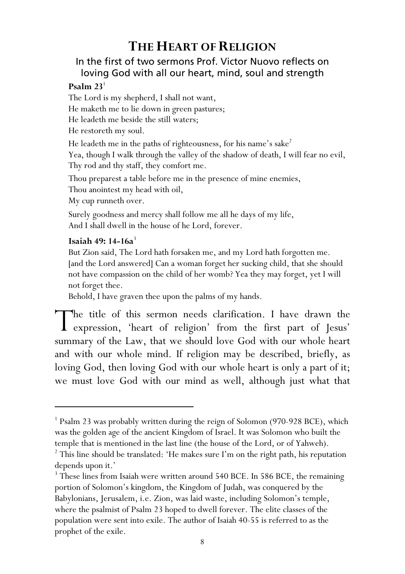# THE HEART OF RELIGION

### In the first of two sermons Prof. Victor Nuovo reflects on loving God with all our heart, mind, soul and strength

#### Psalm  $23<sup>1</sup>$

The Lord is my shepherd, I shall not want, He maketh me to lie down in green pastures; He leadeth me beside the still waters; He restoreth my soul.

He leadeth me in the paths of righteousness, for his name's sake<sup>2</sup>

Yea, though I walk through the valley of the shadow of death, I will fear no evil, Thy rod and thy staff, they comfort me.

Thou preparest a table before me in the presence of mine enemies,

Thou anointest my head with oil,

My cup runneth over.

Surely goodness and mercy shall follow me all he days of my life, And I shall dwell in the house of he Lord, forever.

#### Isaiah 49: 14-16a<sup>3</sup>

 $\overline{a}$ 

But Zion said, The Lord hath forsaken me, and my Lord hath forgotten me. [and the Lord answered] Can a woman forget her sucking child, that she should not have compassion on the child of her womb? Yea they may forget, yet I will not forget thee.

Behold, I have graven thee upon the palms of my hands.

he title of this sermon needs clarification. I have drawn the The title of this sermon needs clarification. I have drawn the expression, 'heart of religion' from the first part of Jesus' summary of the Law, that we should love God with our whole heart and with our whole mind. If religion may be described, briefly, as loving God, then loving God with our whole heart is only a part of it; we must love God with our mind as well, although just what that

<sup>&</sup>lt;sup>1</sup> Psalm 23 was probably written during the reign of Solomon (970-928 BCE), which was the golden age of the ancient Kingdom of Israel. It was Solomon who built the temple that is mentioned in the last line (the house of the Lord, or of Yahweh).

<sup>&</sup>lt;sup>2</sup> This line should be translated: 'He makes sure I'm on the right path, his reputation depends upon it.'

<sup>&</sup>lt;sup>3</sup> These lines from Isaiah were written around 540 BCE. In 586 BCE, the remaining portion of Solomon's kingdom, the Kingdom of Judah, was conquered by the Babylonians, Jerusalem, i.e. Zion, was laid waste, including Solomon's temple, where the psalmist of Psalm 23 hoped to dwell forever. The elite classes of the population were sent into exile. The author of Isaiah 40-55 is referred to as the prophet of the exile.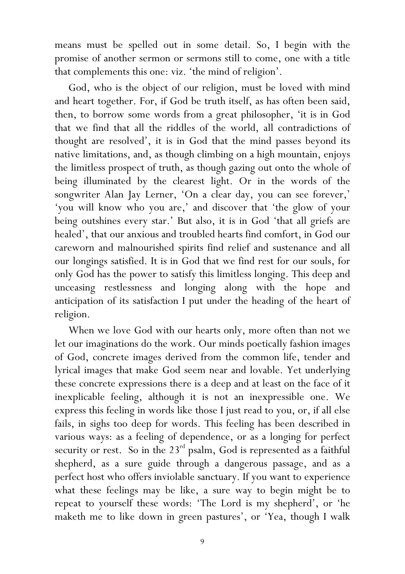means must be spelled out in some detail. So, I begin with the promise of another sermon or sermons still to come, one with a title that complements this one: viz. 'the mind of religion'.

 God, who is the object of our religion, must be loved with mind and heart together. For, if God be truth itself, as has often been said, then, to borrow some words from a great philosopher, 'it is in God that we find that all the riddles of the world, all contradictions of thought are resolved', it is in God that the mind passes beyond its native limitations, and, as though climbing on a high mountain, enjoys the limitless prospect of truth, as though gazing out onto the whole of being illuminated by the clearest light. Or in the words of the songwriter Alan Jay Lerner, 'On a clear day, you can see forever,' 'you will know who you are,' and discover that 'the glow of your being outshines every star.' But also, it is in God 'that all griefs are healed', that our anxious and troubled hearts find comfort, in God our careworn and malnourished spirits find relief and sustenance and all our longings satisfied. It is in God that we find rest for our souls, for only God has the power to satisfy this limitless longing. This deep and unceasing restlessness and longing along with the hope and anticipation of its satisfaction I put under the heading of the heart of religion.

 When we love God with our hearts only, more often than not we let our imaginations do the work. Our minds poetically fashion images of God, concrete images derived from the common life, tender and lyrical images that make God seem near and lovable. Yet underlying these concrete expressions there is a deep and at least on the face of it inexplicable feeling, although it is not an inexpressible one. We express this feeling in words like those I just read to you, or, if all else fails, in sighs too deep for words. This feeling has been described in various ways: as a feeling of dependence, or as a longing for perfect security or rest. So in the  $23<sup>rd</sup>$  psalm, God is represented as a faithful shepherd, as a sure guide through a dangerous passage, and as a perfect host who offers inviolable sanctuary. If you want to experience what these feelings may be like, a sure way to begin might be to repeat to yourself these words: 'The Lord is my shepherd', or 'he maketh me to like down in green pastures', or 'Yea, though I walk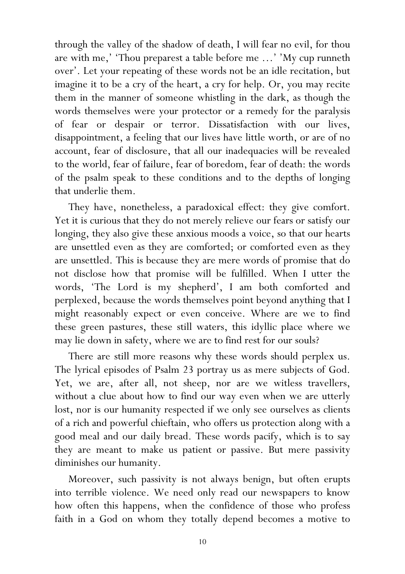through the valley of the shadow of death, I will fear no evil, for thou are with me,' 'Thou preparest a table before me …' 'My cup runneth over'. Let your repeating of these words not be an idle recitation, but imagine it to be a cry of the heart, a cry for help. Or, you may recite them in the manner of someone whistling in the dark, as though the words themselves were your protector or a remedy for the paralysis of fear or despair or terror. Dissatisfaction with our lives, disappointment, a feeling that our lives have little worth, or are of no account, fear of disclosure, that all our inadequacies will be revealed to the world, fear of failure, fear of boredom, fear of death: the words of the psalm speak to these conditions and to the depths of longing that underlie them.

 They have, nonetheless, a paradoxical effect: they give comfort. Yet it is curious that they do not merely relieve our fears or satisfy our longing, they also give these anxious moods a voice, so that our hearts are unsettled even as they are comforted; or comforted even as they are unsettled. This is because they are mere words of promise that do not disclose how that promise will be fulfilled. When I utter the words, 'The Lord is my shepherd', I am both comforted and perplexed, because the words themselves point beyond anything that I might reasonably expect or even conceive. Where are we to find these green pastures, these still waters, this idyllic place where we may lie down in safety, where we are to find rest for our souls?

 There are still more reasons why these words should perplex us. The lyrical episodes of Psalm 23 portray us as mere subjects of God. Yet, we are, after all, not sheep, nor are we witless travellers, without a clue about how to find our way even when we are utterly lost, nor is our humanity respected if we only see ourselves as clients of a rich and powerful chieftain, who offers us protection along with a good meal and our daily bread. These words pacify, which is to say they are meant to make us patient or passive. But mere passivity diminishes our humanity.

 Moreover, such passivity is not always benign, but often erupts into terrible violence. We need only read our newspapers to know how often this happens, when the confidence of those who profess faith in a God on whom they totally depend becomes a motive to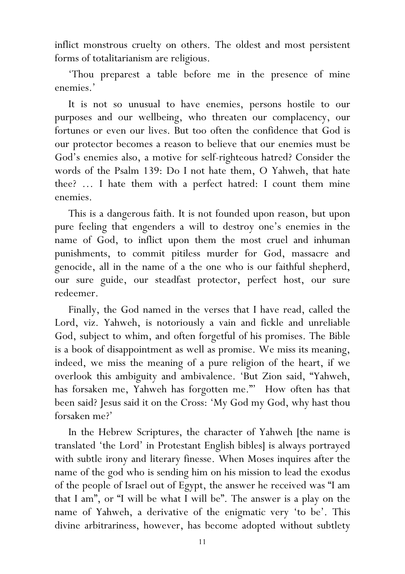inflict monstrous cruelty on others. The oldest and most persistent forms of totalitarianism are religious.

 'Thou preparest a table before me in the presence of mine enemies.'

 It is not so unusual to have enemies, persons hostile to our purposes and our wellbeing, who threaten our complacency, our fortunes or even our lives. But too often the confidence that God is our protector becomes a reason to believe that our enemies must be God's enemies also, a motive for self-righteous hatred? Consider the words of the Psalm 139: Do I not hate them, O Yahweh, that hate thee? … I hate them with a perfect hatred: I count them mine enemies.

This is a dangerous faith. It is not founded upon reason, but upon pure feeling that engenders a will to destroy one's enemies in the name of God, to inflict upon them the most cruel and inhuman punishments, to commit pitiless murder for God, massacre and genocide, all in the name of a the one who is our faithful shepherd, our sure guide, our steadfast protector, perfect host, our sure redeemer.

 Finally, the God named in the verses that I have read, called the Lord, viz. Yahweh, is notoriously a vain and fickle and unreliable God, subject to whim, and often forgetful of his promises. The Bible is a book of disappointment as well as promise. We miss its meaning, indeed, we miss the meaning of a pure religion of the heart, if we overlook this ambiguity and ambivalence. 'But Zion said, "Yahweh, has forsaken me, Yahweh has forgotten me."' How often has that been said? Jesus said it on the Cross: 'My God my God, why hast thou forsaken me?'

 In the Hebrew Scriptures, the character of Yahweh [the name is translated 'the Lord' in Protestant English bibles] is always portrayed with subtle irony and literary finesse. When Moses inquires after the name of the god who is sending him on his mission to lead the exodus of the people of Israel out of Egypt, the answer he received was "I am that I am", or "I will be what I will be". The answer is a play on the name of Yahweh, a derivative of the enigmatic very 'to be'. This divine arbitrariness, however, has become adopted without subtlety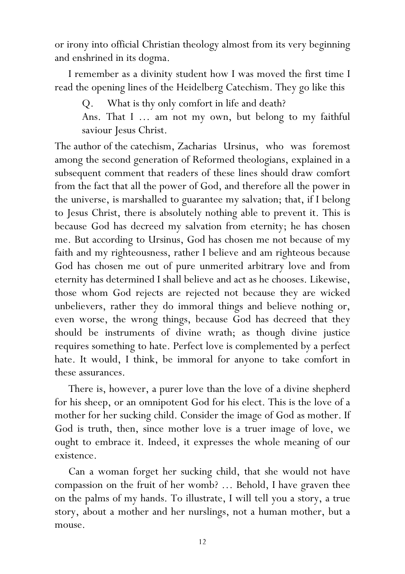or irony into official Christian theology almost from its very beginning and enshrined in its dogma.

 I remember as a divinity student how I was moved the first time I read the opening lines of the Heidelberg Catechism. They go like this

Q. What is thy only comfort in life and death?

Ans. That I … am not my own, but belong to my faithful saviour Jesus Christ.

The author of the catechism, Zacharias Ursinus, who was foremost among the second generation of Reformed theologians, explained in a subsequent comment that readers of these lines should draw comfort from the fact that all the power of God, and therefore all the power in the universe, is marshalled to guarantee my salvation; that, if I belong to Jesus Christ, there is absolutely nothing able to prevent it. This is because God has decreed my salvation from eternity; he has chosen me. But according to Ursinus, God has chosen me not because of my faith and my righteousness, rather I believe and am righteous because God has chosen me out of pure unmerited arbitrary love and from eternity has determined I shall believe and act as he chooses. Likewise, those whom God rejects are rejected not because they are wicked unbelievers, rather they do immoral things and believe nothing or, even worse, the wrong things, because God has decreed that they should be instruments of divine wrath; as though divine justice requires something to hate. Perfect love is complemented by a perfect hate. It would, I think, be immoral for anyone to take comfort in these assurances.

 There is, however, a purer love than the love of a divine shepherd for his sheep, or an omnipotent God for his elect. This is the love of a mother for her sucking child. Consider the image of God as mother. If God is truth, then, since mother love is a truer image of love, we ought to embrace it. Indeed, it expresses the whole meaning of our existence.

Can a woman forget her sucking child, that she would not have compassion on the fruit of her womb? … Behold, I have graven thee on the palms of my hands. To illustrate, I will tell you a story, a true story, about a mother and her nurslings, not a human mother, but a mouse.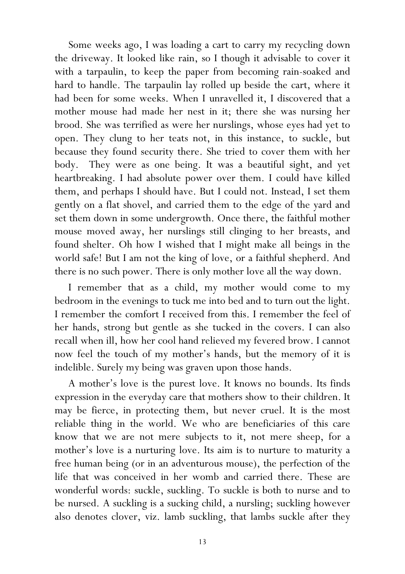Some weeks ago, I was loading a cart to carry my recycling down the driveway. It looked like rain, so I though it advisable to cover it with a tarpaulin, to keep the paper from becoming rain-soaked and hard to handle. The tarpaulin lay rolled up beside the cart, where it had been for some weeks. When I unravelled it, I discovered that a mother mouse had made her nest in it; there she was nursing her brood. She was terrified as were her nurslings, whose eyes had yet to open. They clung to her teats not, in this instance, to suckle, but because they found security there. She tried to cover them with her body. They were as one being. It was a beautiful sight, and yet heartbreaking. I had absolute power over them. I could have killed them, and perhaps I should have. But I could not. Instead, I set them gently on a flat shovel, and carried them to the edge of the yard and set them down in some undergrowth. Once there, the faithful mother mouse moved away, her nurslings still clinging to her breasts, and found shelter. Oh how I wished that I might make all beings in the world safe! But I am not the king of love, or a faithful shepherd. And there is no such power. There is only mother love all the way down.

I remember that as a child, my mother would come to my bedroom in the evenings to tuck me into bed and to turn out the light. I remember the comfort I received from this. I remember the feel of her hands, strong but gentle as she tucked in the covers. I can also recall when ill, how her cool hand relieved my fevered brow. I cannot now feel the touch of my mother's hands, but the memory of it is indelible. Surely my being was graven upon those hands.

A mother's love is the purest love. It knows no bounds. Its finds expression in the everyday care that mothers show to their children. It may be fierce, in protecting them, but never cruel. It is the most reliable thing in the world. We who are beneficiaries of this care know that we are not mere subjects to it, not mere sheep, for a mother's love is a nurturing love. Its aim is to nurture to maturity a free human being (or in an adventurous mouse), the perfection of the life that was conceived in her womb and carried there. These are wonderful words: suckle, suckling. To suckle is both to nurse and to be nursed. A suckling is a sucking child, a nursling; suckling however also denotes clover, viz. lamb suckling, that lambs suckle after they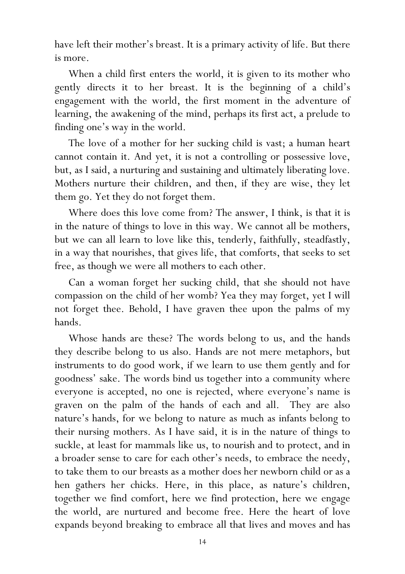have left their mother's breast. It is a primary activity of life. But there is more.

When a child first enters the world, it is given to its mother who gently directs it to her breast. It is the beginning of a child's engagement with the world, the first moment in the adventure of learning, the awakening of the mind, perhaps its first act, a prelude to finding one's way in the world.

The love of a mother for her sucking child is vast; a human heart cannot contain it. And yet, it is not a controlling or possessive love, but, as I said, a nurturing and sustaining and ultimately liberating love. Mothers nurture their children, and then, if they are wise, they let them go. Yet they do not forget them.

Where does this love come from? The answer, I think, is that it is in the nature of things to love in this way. We cannot all be mothers, but we can all learn to love like this, tenderly, faithfully, steadfastly, in a way that nourishes, that gives life, that comforts, that seeks to set free, as though we were all mothers to each other.

Can a woman forget her sucking child, that she should not have compassion on the child of her womb? Yea they may forget, yet I will not forget thee. Behold, I have graven thee upon the palms of my hands.

Whose hands are these? The words belong to us, and the hands they describe belong to us also. Hands are not mere metaphors, but instruments to do good work, if we learn to use them gently and for goodness' sake. The words bind us together into a community where everyone is accepted, no one is rejected, where everyone's name is graven on the palm of the hands of each and all. They are also nature's hands, for we belong to nature as much as infants belong to their nursing mothers. As I have said, it is in the nature of things to suckle, at least for mammals like us, to nourish and to protect, and in a broader sense to care for each other's needs, to embrace the needy, to take them to our breasts as a mother does her newborn child or as a hen gathers her chicks. Here, in this place, as nature's children, together we find comfort, here we find protection, here we engage the world, are nurtured and become free. Here the heart of love expands beyond breaking to embrace all that lives and moves and has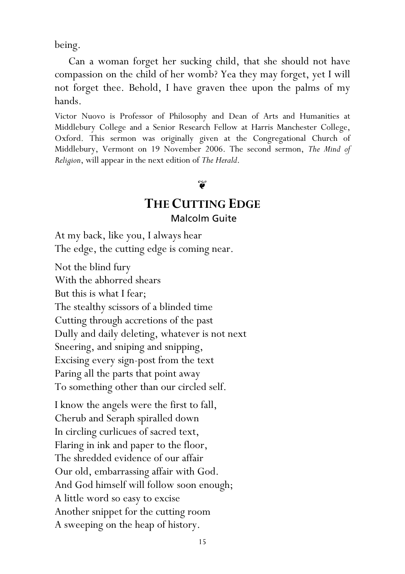being.

Can a woman forget her sucking child, that she should not have compassion on the child of her womb? Yea they may forget, yet I will not forget thee. Behold, I have graven thee upon the palms of my hands.

Victor Nuovo is Professor of Philosophy and Dean of Arts and Humanities at Middlebury College and a Senior Research Fellow at Harris Manchester College, Oxford. This sermon was originally given at the Congregational Church of Middlebury, Vermont on 19 November 2006. The second sermon, The Mind of Religion, will appear in the next edition of The Herald.

## $\widetilde{\bullet}$

## THE CUTTING EDGE Malcolm Guite

At my back, like you, I always hear The edge, the cutting edge is coming near.

Not the blind fury With the abhorred shears But this is what I fear; The stealthy scissors of a blinded time Cutting through accretions of the past Dully and daily deleting, whatever is not next Sneering, and sniping and snipping, Excising every sign-post from the text Paring all the parts that point away To something other than our circled self.

I know the angels were the first to fall, Cherub and Seraph spiralled down In circling curlicues of sacred text, Flaring in ink and paper to the floor, The shredded evidence of our affair Our old, embarrassing affair with God. And God himself will follow soon enough; A little word so easy to excise Another snippet for the cutting room A sweeping on the heap of history.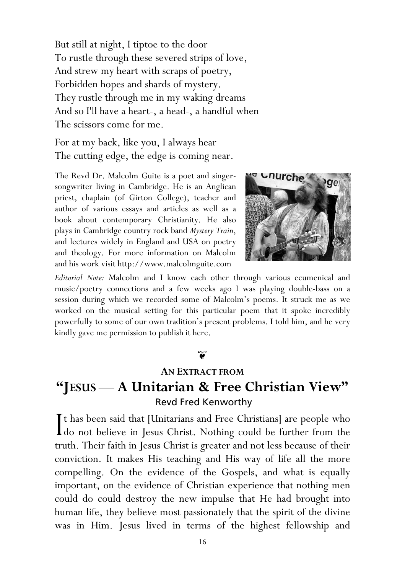But still at night, I tiptoe to the door To rustle through these severed strips of love, And strew my heart with scraps of poetry, Forbidden hopes and shards of mystery. They rustle through me in my waking dreams And so I'll have a heart-, a head-, a handful when The scissors come for me.

For at my back, like you, I always hear The cutting edge, the edge is coming near.

The Revd Dr. Malcolm Guite is a poet and singersongwriter living in Cambridge. He is an Anglican priest, chaplain (of Girton College), teacher and author of various essays and articles as well as a book about contemporary Christianity. He also plays in Cambridge country rock band Mystery Train, and lectures widely in England and USA on poetry and theology. For more information on Malcolm and his work visit http://www.malcolmguite.com



Editorial Note: Malcolm and I know each other through various ecumenical and music/poetry connections and a few weeks ago I was playing double-bass on a session during which we recorded some of Malcolm's poems. It struck me as we worked on the musical setting for this particular poem that it spoke incredibly powerfully to some of our own tradition's present problems. I told him, and he very kindly gave me permission to publish it here.

### $\widetilde{\bullet}$

#### AN EXTRACT FROM

# "JESUS — A Unitarian & Free Christian View" Revd Fred Kenworthy

t has been said that [Unitarians and Free Christians] are people who do not believe in Jesus Christ. Nothing could be further from the truth. Their faith in Jesus Christ is greater and not less because of their conviction. It makes His teaching and His way of life all the more compelling. On the evidence of the Gospels, and what is equally important, on the evidence of Christian experience that nothing men could do could destroy the new impulse that He had brought into human life, they believe most passionately that the spirit of the divine was in Him. Jesus lived in terms of the highest fellowship and I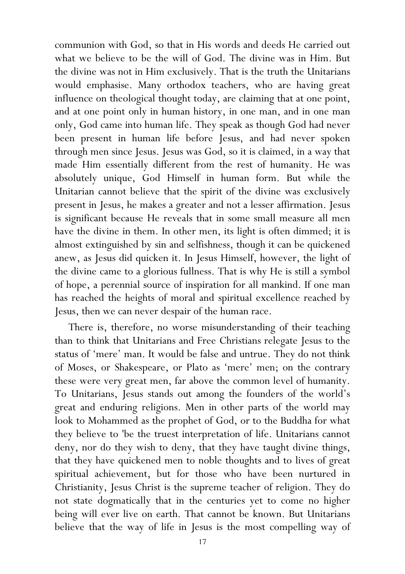communion with God, so that in His words and deeds He carried out what we believe to be the will of God. The divine was in Him. But the divine was not in Him exclusively. That is the truth the Unitarians would emphasise. Many orthodox teachers, who are having great influence on theological thought today, are claiming that at one point, and at one point only in human history, in one man, and in one man only, God came into human life. They speak as though God had never been present in human life before Jesus, and had never spoken through men since Jesus. Jesus was God, so it is claimed, in a way that made Him essentially different from the rest of humanity. He was absolutely unique, God Himself in human form. But while the Unitarian cannot believe that the spirit of the divine was exclusively present in Jesus, he makes a greater and not a lesser affirmation. Jesus is significant because He reveals that in some small measure all men have the divine in them. In other men, its light is often dimmed; it is almost extinguished by sin and selfishness, though it can be quickened anew, as Jesus did quicken it. In Jesus Himself, however, the light of the divine came to a glorious fullness. That is why He is still a symbol of hope, a perennial source of inspiration for all mankind. If one man has reached the heights of moral and spiritual excellence reached by Jesus, then we can never despair of the human race.

There is, therefore, no worse misunderstanding of their teaching than to think that Unitarians and Free Christians relegate Jesus to the status of 'mere' man. It would be false and untrue. They do not think of Moses, or Shakespeare, or Plato as 'mere' men; on the contrary these were very great men, far above the common level of humanity. To Unitarians, Jesus stands out among the founders of the world's great and enduring religions. Men in other parts of the world may look to Mohammed as the prophet of God, or to the Buddha for what they believe to 'be the truest interpretation of life. Unitarians cannot deny, nor do they wish to deny, that they have taught divine things, that they have quickened men to noble thoughts and to lives of great spiritual achievement, but for those who have been nurtured in Christianity, Jesus Christ is the supreme teacher of religion. They do not state dogmatically that in the centuries yet to come no higher being will ever live on earth. That cannot be known. But Unitarians believe that the way of life in Jesus is the most compelling way of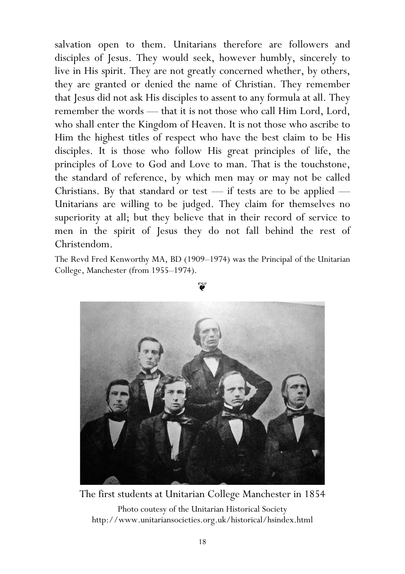salvation open to them. Unitarians therefore are followers and disciples of Jesus. They would seek, however humbly, sincerely to live in His spirit. They are not greatly concerned whether, by others, they are granted or denied the name of Christian. They remember that Jesus did not ask His disciples to assent to any formula at all. They remember the words — that it is not those who call Him Lord, Lord, who shall enter the Kingdom of Heaven. It is not those who ascribe to Him the highest titles of respect who have the best claim to be His disciples. It is those who follow His great principles of life, the principles of Love to God and Love to man. That is the touchstone, the standard of reference, by which men may or may not be called Christians. By that standard or test — if tests are to be applied — Unitarians are willing to be judged. They claim for themselves no superiority at all; but they believe that in their record of service to men in the spirit of Jesus they do not fall behind the rest of Christendom.

The Revd Fred Kenworthy MA, BD (1909–1974) was the Principal of the Unitarian College, Manchester (from 1955–1974).

 $\widetilde{\mathbf{v}}$ 



The first students at Unitarian College Manchester in 1854

Photo coutesy of the Unitarian Historical Society http://www.unitariansocieties.org.uk/historical/hsindex.html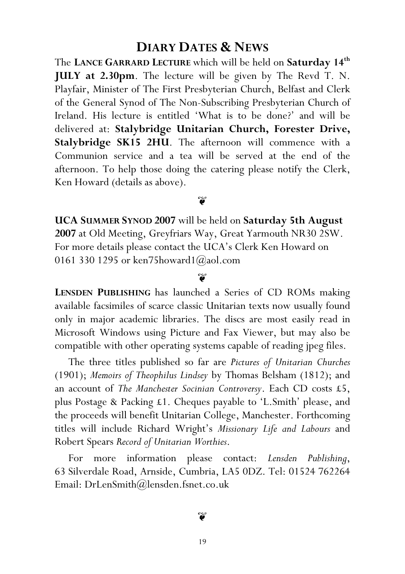## DIARY DATES & NEWS

The LANCE GARRARD LECTURE which will be held on Saturday 14<sup>th</sup> JULY at 2.30pm. The lecture will be given by The Revd T. N. Playfair, Minister of The First Presbyterian Church, Belfast and Clerk of the General Synod of The Non-Subscribing Presbyterian Church of Ireland. His lecture is entitled 'What is to be done?' and will be delivered at: Stalybridge Unitarian Church, Forester Drive, Stalybridge SK15 2HU. The afternoon will commence with a Communion service and a tea will be served at the end of the afternoon. To help those doing the catering please notify the Clerk, Ken Howard (details as above).

### $\gamma$

UCA SUMMER SYNOD 2007 will be held on Saturday 5th August 2007 at Old Meeting, Greyfriars Way, Great Yarmouth NR30 2SW. For more details please contact the UCA's Clerk Ken Howard on 0161 330 1295 or ken75howard1@aol.com

## $\widetilde{\mathbf{v}}$

LENSDEN PUBLISHING has launched a Series of CD ROMs making available facsimiles of scarce classic Unitarian texts now usually found only in major academic libraries. The discs are most easily read in Microsoft Windows using Picture and Fax Viewer, but may also be compatible with other operating systems capable of reading jpeg files.

The three titles published so far are Pictures of Unitarian Churches (1901); Memoirs of Theophilus Lindsey by Thomas Belsham (1812); and an account of The Manchester Socinian Controversy. Each CD costs £5, plus Postage & Packing £1. Cheques payable to 'L.Smith' please, and the proceeds will benefit Unitarian College, Manchester. Forthcoming titles will include Richard Wright's Missionary Life and Labours and Robert Spears Record of Unitarian Worthies.

For more information please contact: Lensden Publishing, 63 Silverdale Road, Arnside, Cumbria, LA5 0DZ. Tel: 01524 762264 Email: DrLenSmith@lensden.fsnet.co.uk

### $\widetilde{\bullet}$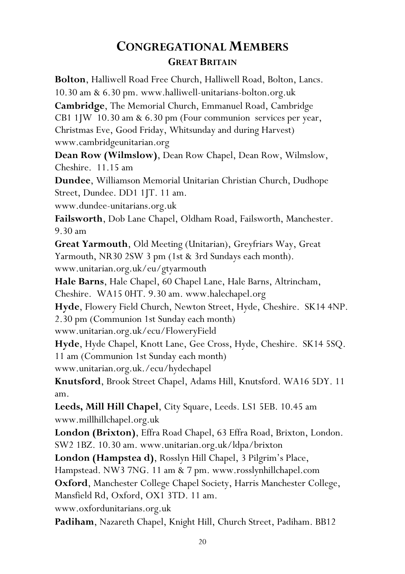# CONGREGATIONAL MEMBERS GREAT BRITAIN

Bolton, Halliwell Road Free Church, Halliwell Road, Bolton, Lancs. 10.30 am & 6.30 pm. www.halliwell-unitarians-bolton.org.uk Cambridge, The Memorial Church, Emmanuel Road, Cambridge CB1 1JW 10.30 am & 6.30 pm (Four communion services per year, Christmas Eve, Good Friday, Whitsunday and during Harvest) www.cambridgeunitarian.org Dean Row (Wilmslow), Dean Row Chapel, Dean Row, Wilmslow, Cheshire. 11.15 am Dundee, Williamson Memorial Unitarian Christian Church, Dudhope Street, Dundee. DD1 1JT. 11 am. www.dundee-unitarians.org.uk Failsworth, Dob Lane Chapel, Oldham Road, Failsworth, Manchester. 9.30 am Great Yarmouth, Old Meeting (Unitarian), Greyfriars Way, Great Yarmouth, NR30 2SW 3 pm (1st & 3rd Sundays each month). www.unitarian.org.uk/eu/gtyarmouth Hale Barns, Hale Chapel, 60 Chapel Lane, Hale Barns, Altrincham, Cheshire. WA15 0HT. 9.30 am. www.halechapel.org Hyde, Flowery Field Church, Newton Street, Hyde, Cheshire. SK14 4NP. 2.30 pm (Communion 1st Sunday each month) www.unitarian.org.uk/ecu/FloweryField Hyde, Hyde Chapel, Knott Lane, Gee Cross, Hyde, Cheshire. SK14 5SQ. 11 am (Communion 1st Sunday each month) www.unitarian.org.uk./ecu/hydechapel Knutsford, Brook Street Chapel, Adams Hill, Knutsford. WA16 5DY. 11 am. Leeds, Mill Hill Chapel, City Square, Leeds. LS1 5EB. 10.45 am www.millhillchapel.org.uk London (Brixton), Effra Road Chapel, 63 Effra Road, Brixton, London. SW2 1BZ. 10.30 am. www.unitarian.org.uk/ldpa/brixton London (Hampstea d), Rosslyn Hill Chapel, 3 Pilgrim's Place, Hampstead. NW3 7NG. 11 am & 7 pm. www.rosslynhillchapel.com Oxford, Manchester College Chapel Society, Harris Manchester College, Mansfield Rd, Oxford, OX1 3TD. 11 am. www.oxfordunitarians.org.uk

Padiham, Nazareth Chapel, Knight Hill, Church Street, Padiham. BB12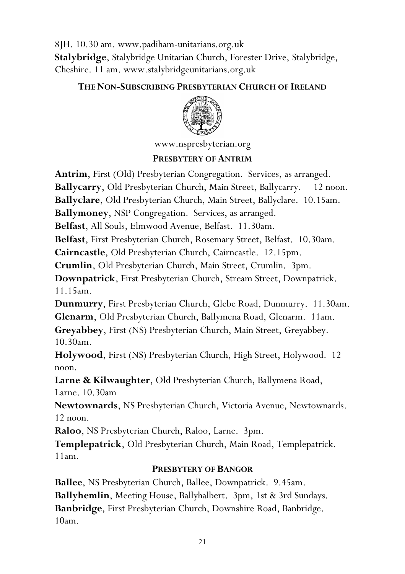8JH. 10.30 am. www.padiham-unitarians.org.uk

Stalybridge, Stalybridge Unitarian Church, Forester Drive, Stalybridge, Cheshire. 11 am. www.stalybridgeunitarians.org.uk

### THE NON-SUBSCRIBING PRESBYTERIAN CHURCH OF IRELAND



www.nspresbyterian.org

#### PRESBYTERY OF ANTRIM

Antrim, First (Old) Presbyterian Congregation. Services, as arranged.

Ballycarry, Old Presbyterian Church, Main Street, Ballycarry. 12 noon. Ballyclare, Old Presbyterian Church, Main Street, Ballyclare. 10.15am. Ballymoney, NSP Congregation. Services, as arranged. Belfast, All Souls, Elmwood Avenue, Belfast. 11.30am. Belfast, First Presbyterian Church, Rosemary Street, Belfast. 10.30am. Cairncastle, Old Presbyterian Church, Cairncastle. 12.15pm. Crumlin, Old Presbyterian Church, Main Street, Crumlin. 3pm. Downpatrick, First Presbyterian Church, Stream Street, Downpatrick. 11.15am. Dunmurry, First Presbyterian Church, Glebe Road, Dunmurry. 11.30am. Glenarm, Old Presbyterian Church, Ballymena Road, Glenarm. 11am. Greyabbey, First (NS) Presbyterian Church, Main Street, Greyabbey. 10.30am. Holywood, First (NS) Presbyterian Church, High Street, Holywood. 12 noon. Larne & Kilwaughter, Old Presbyterian Church, Ballymena Road, Larne. 10.30am Newtownards, NS Presbyterian Church, Victoria Avenue, Newtownards. 12 noon. Raloo, NS Presbyterian Church, Raloo, Larne. 3pm. Templepatrick, Old Presbyterian Church, Main Road, Templepatrick. 11am. PRESBYTERY OF BANGOR

Ballee, NS Presbyterian Church, Ballee, Downpatrick. 9.45am. Ballyhemlin, Meeting House, Ballyhalbert. 3pm, 1st & 3rd Sundays. Banbridge, First Presbyterian Church, Downshire Road, Banbridge. 10am.